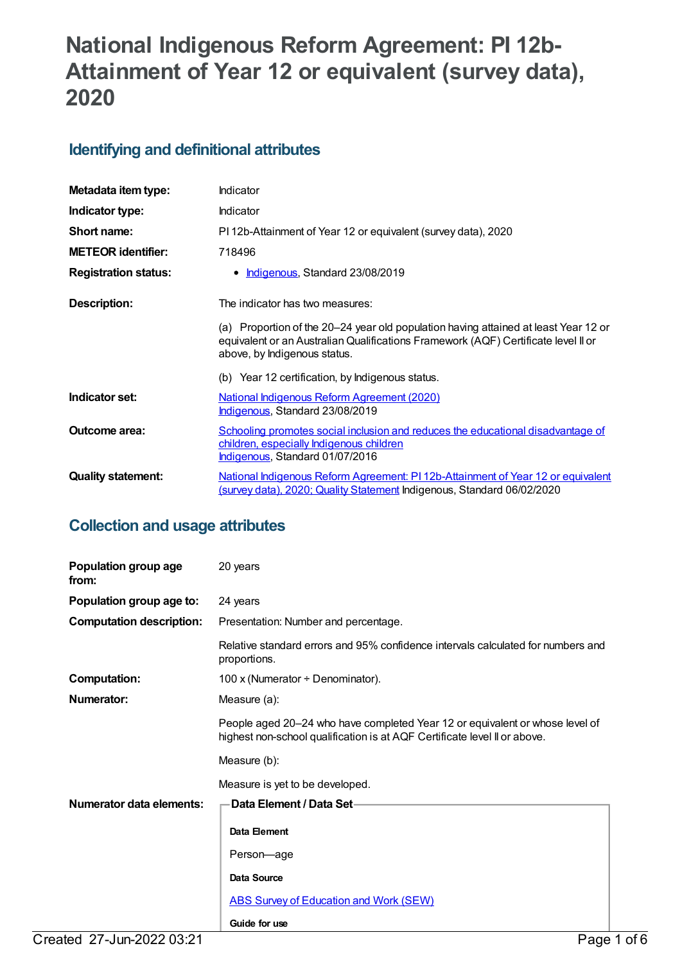# **National Indigenous Reform Agreement: PI 12b-Attainment of Year 12 or equivalent (survey data), 2020**

## **Identifying and definitional attributes**

| Metadata item type:         | Indicator                                                                                                                                                                                                 |
|-----------------------------|-----------------------------------------------------------------------------------------------------------------------------------------------------------------------------------------------------------|
| Indicator type:             | Indicator                                                                                                                                                                                                 |
| Short name:                 | PI 12b-Attainment of Year 12 or equivalent (survey data), 2020                                                                                                                                            |
| <b>METEOR identifier:</b>   | 718496                                                                                                                                                                                                    |
| <b>Registration status:</b> | • Indigenous, Standard 23/08/2019                                                                                                                                                                         |
| Description:                | The indicator has two measures:                                                                                                                                                                           |
|                             | (a) Proportion of the 20-24 year old population having attained at least Year 12 or<br>equivalent or an Australian Qualifications Framework (AQF) Certificate level II or<br>above, by Indigenous status. |
|                             | (b) Year 12 certification, by Indigenous status.                                                                                                                                                          |
| Indicator set:              | National Indigenous Reform Agreement (2020)<br>Indigenous, Standard 23/08/2019                                                                                                                            |
| <b>Outcome area:</b>        | Schooling promotes social inclusion and reduces the educational disadvantage of<br>children, especially Indigenous children<br>Indigenous, Standard 01/07/2016                                            |
| <b>Quality statement:</b>   | National Indigenous Reform Agreement: PI 12b-Attainment of Year 12 or equivalent<br>(survey data), 2020; Quality Statement Indigenous, Standard 06/02/2020                                                |

## **Collection and usage attributes**

| Population group age<br>from:   | 20 years                                                                                                                                                  |
|---------------------------------|-----------------------------------------------------------------------------------------------------------------------------------------------------------|
| Population group age to:        | 24 years                                                                                                                                                  |
| <b>Computation description:</b> | Presentation: Number and percentage.                                                                                                                      |
|                                 | Relative standard errors and 95% confidence intervals calculated for numbers and<br>proportions.                                                          |
| <b>Computation:</b>             | 100 x (Numerator ÷ Denominator).                                                                                                                          |
| <b>Numerator:</b>               | Measure (a):                                                                                                                                              |
|                                 | People aged 20-24 who have completed Year 12 or equivalent or whose level of<br>highest non-school qualification is at AQF Certificate level II or above. |
|                                 | Measure (b):                                                                                                                                              |
|                                 | Measure is yet to be developed.                                                                                                                           |
| Numerator data elements:        | <b>Data Element / Data Set-</b>                                                                                                                           |
|                                 | Data Element                                                                                                                                              |
|                                 | Person-age                                                                                                                                                |
|                                 | <b>Data Source</b>                                                                                                                                        |
|                                 | <b>ABS Survey of Education and Work (SEW)</b>                                                                                                             |
|                                 | Guide for use                                                                                                                                             |
| Created 27-Jun-2022 03:21       | Page 1 of 6                                                                                                                                               |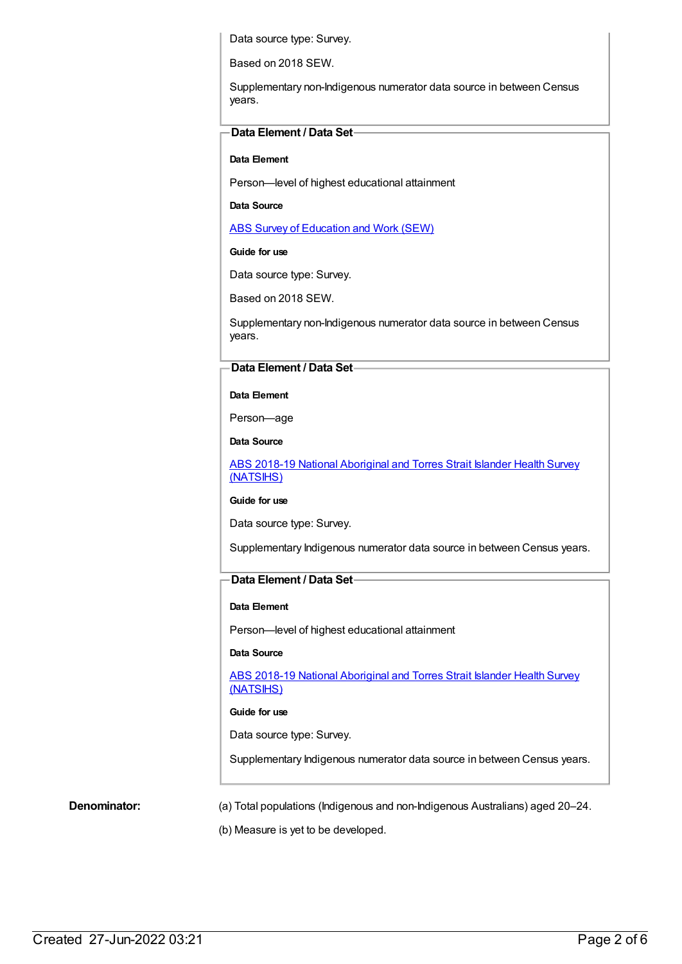Data source type: Survey.

Based on 2018 SEW.

Supplementary non-Indigenous numerator data source in between Census years.

#### **Data Element / Data Set**

#### **Data Element**

Person—level of highest educational attainment

**Data Source**

ABS Survey of [Education](https://meteor.aihw.gov.au/content/396601) and Work (SEW)

#### **Guide for use**

Data source type: Survey.

Based on 2018 SEW.

Supplementary non-Indigenous numerator data source in between Census years.

#### **Data Element / Data Set**

#### **Data Element**

Person—age

**Data Source**

ABS 2018-19 National [Aboriginal](https://meteor.aihw.gov.au/content/719848) and Torres Strait Islander Health Survey (NATSIHS)

**Guide for use**

Data source type: Survey.

Supplementary Indigenous numerator data source in between Census years.

#### **Data Element / Data Set**

#### **Data Element**

Person—level of highest educational attainment

#### **Data Source**

ABS 2018-19 National [Aboriginal](https://meteor.aihw.gov.au/content/719848) and Torres Strait Islander Health Survey (NATSIHS)

#### **Guide for use**

Data source type: Survey.

Supplementary Indigenous numerator data source in between Census years.

**Denominator:** (a) Total populations (Indigenous and non-Indigenous Australians) aged 20–24.

(b) Measure is yet to be developed.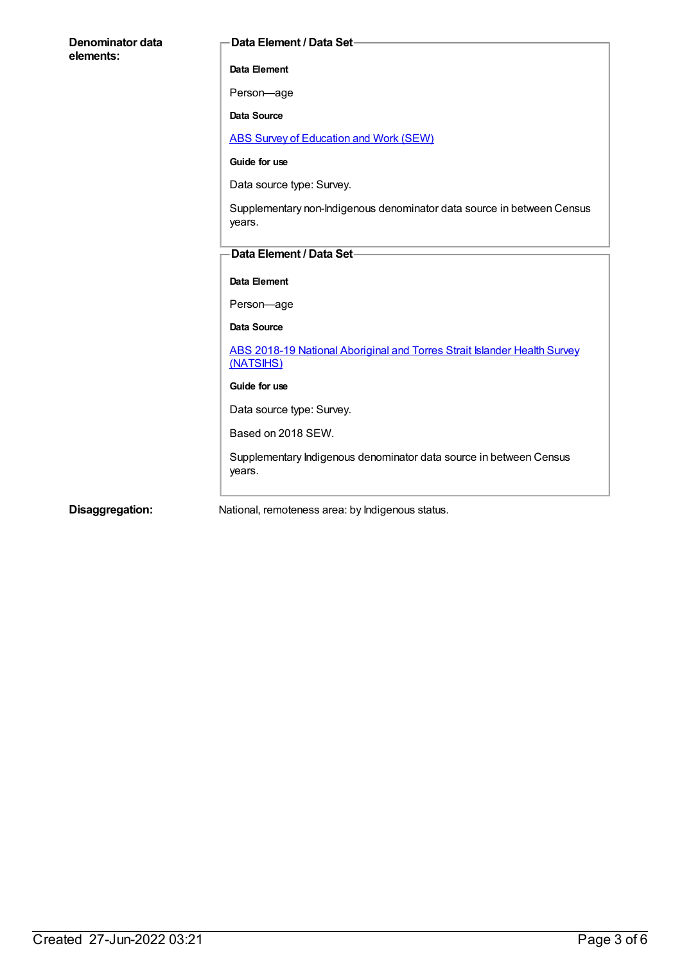| Denominator data<br>elements: | Data Element / Data Set-                                                              |
|-------------------------------|---------------------------------------------------------------------------------------|
|                               | Data Element                                                                          |
|                               | Person-age                                                                            |
|                               | <b>Data Source</b>                                                                    |
|                               | <b>ABS Survey of Education and Work (SEW)</b>                                         |
|                               | Guide for use                                                                         |
|                               | Data source type: Survey.                                                             |
|                               | Supplementary non-Indigenous denominator data source in between Census<br>years.      |
|                               | Data Element / Data Set-                                                              |
|                               | Data Element                                                                          |
|                               | Person-age                                                                            |
|                               | Data Source                                                                           |
|                               | ABS 2018-19 National Aboriginal and Torres Strait Islander Health Survey<br>(NATSIHS) |
|                               | Guide for use                                                                         |
|                               | Data source type: Survey.                                                             |
|                               | Based on 2018 SEW.                                                                    |
|                               | Supplementary Indigenous denominator data source in between Census<br>years.          |
| Disaggregation:               | National, remoteness area: by Indigenous status.                                      |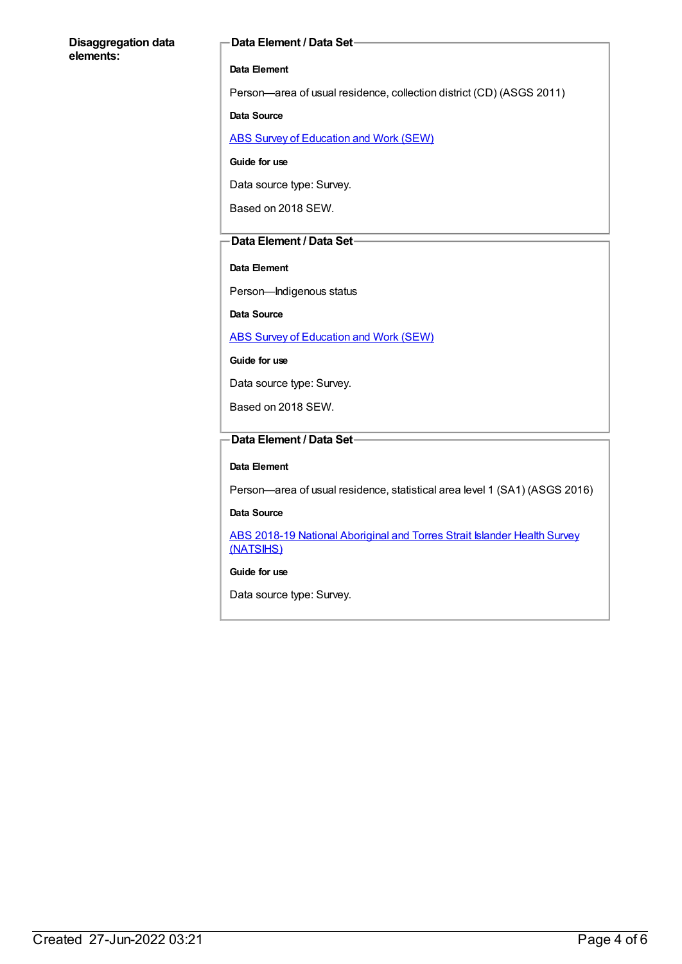#### **Disaggregation data elements:**

#### **Data Element / Data Set**

#### **Data Element**

Person—area of usual residence, collection district (CD) (ASGS 2011)

#### **Data Source**

ABS Survey of [Education](https://meteor.aihw.gov.au/content/396601) and Work (SEW)

#### **Guide for use**

Data source type: Survey.

Based on 2018 SEW.

#### **Data Element / Data Set**

#### **Data Element**

Person—Indigenous status

**Data Source**

ABS Survey of [Education](https://meteor.aihw.gov.au/content/396601) and Work (SEW)

**Guide for use**

Data source type: Survey.

Based on 2018 SEW.

### **Data Element / Data Set**

#### **Data Element**

Person—area of usual residence, statistical area level 1 (SA1) (ASGS 2016)

#### **Data Source**

ABS 2018-19 National [Aboriginal](https://meteor.aihw.gov.au/content/719848) and Torres Strait Islander Health Survey (NATSIHS)

#### **Guide for use**

Data source type: Survey.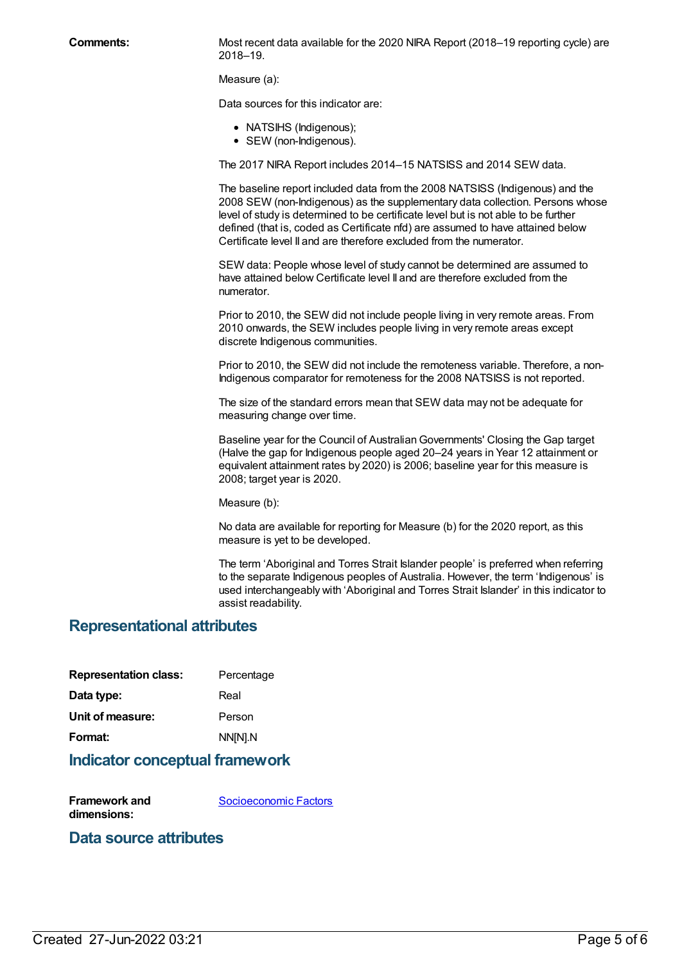**Comments:** Most recent data available for the 2020 NIRA Report (2018–19 reporting cycle) are 2018–19.

Measure (a):

Data sources for this indicator are:

- NATSIHS (Indigenous);
- SEW (non-Indigenous).

The 2017 NIRA Report includes 2014–15 NATSISS and 2014 SEW data.

The baseline report included data from the 2008 NATSISS (Indigenous) and the 2008 SEW (non-Indigenous) as the supplementary data collection. Persons whose level of study is determined to be certificate level but is not able to be further defined (that is, coded as Certificate nfd) are assumed to have attained below Certificate level II and are therefore excluded from the numerator.

SEW data: People whose level of study cannot be determined are assumed to have attained below Certificate level II and are therefore excluded from the numerator.

Prior to 2010, the SEW did not include people living in very remote areas. From 2010 onwards, the SEW includes people living in very remote areas except discrete Indigenous communities.

Prior to 2010, the SEW did not include the remoteness variable. Therefore, a non-Indigenous comparator for remoteness for the 2008 NATSISS is not reported.

The size of the standard errors mean that SEW data may not be adequate for measuring change over time.

Baseline year for the Council of Australian Governments' Closing the Gap target (Halve the gap for Indigenous people aged 20–24 years in Year 12 attainment or equivalent attainment rates by 2020) is 2006; baseline year for this measure is 2008; target year is 2020.

Measure (b):

No data are available for reporting for Measure (b) for the 2020 report, as this measure is yet to be developed.

The term 'Aboriginal and Torres Strait Islander people' is preferred when referring to the separate Indigenous peoples of Australia. However, the term 'Indigenous' is used interchangeably with 'Aboriginal and Torres Strait Islander' in this indicator to assist readability.

#### **Representational attributes**

| <b>Representation class:</b> | Percentage |
|------------------------------|------------|
| Data type:                   | Real       |
| Unit of measure:             | Person     |
| Format:                      | NN[N].N    |

#### **Indicator conceptual framework**

**Framework and dimensions:** [Socioeconomic](https://meteor.aihw.gov.au/content/410674) Factors

#### **Data source attributes**